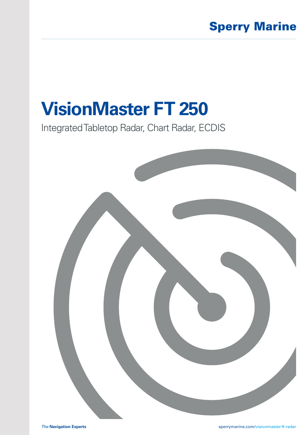# **VisionMaster FT 250**

Integrated Tabletop Radar, Chart Radar, ECDIS